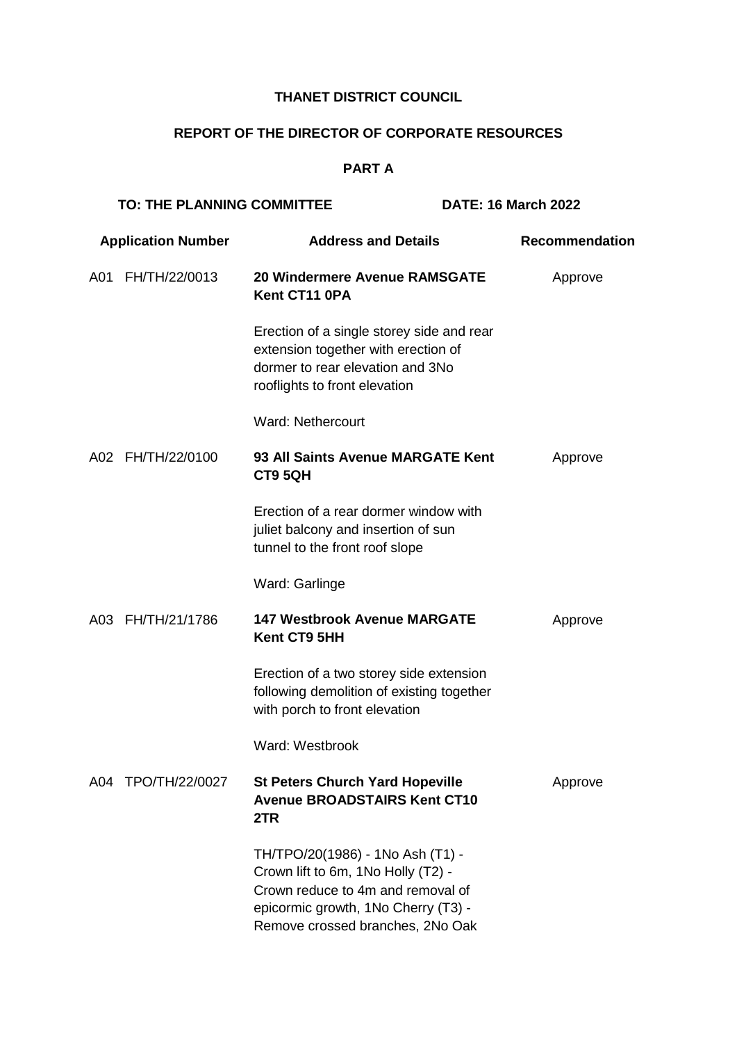## **THANET DISTRICT COUNCIL**

# **REPORT OF THE DIRECTOR OF CORPORATE RESOURCES**

## **PART A**

|                           | <b>TO: THE PLANNING COMMITTEE</b> |                                                                                                                                                                                        | <b>DATE: 16 March 2022</b> |  |
|---------------------------|-----------------------------------|----------------------------------------------------------------------------------------------------------------------------------------------------------------------------------------|----------------------------|--|
| <b>Application Number</b> |                                   | <b>Address and Details</b>                                                                                                                                                             | Recommendation             |  |
| A01                       | FH/TH/22/0013                     | 20 Windermere Avenue RAMSGATE<br>Kent CT11 0PA                                                                                                                                         | Approve                    |  |
|                           |                                   | Erection of a single storey side and rear<br>extension together with erection of<br>dormer to rear elevation and 3No<br>rooflights to front elevation                                  |                            |  |
|                           |                                   | <b>Ward: Nethercourt</b>                                                                                                                                                               |                            |  |
|                           | A02 FH/TH/22/0100                 | 93 All Saints Avenue MARGATE Kent<br>CT9 5QH                                                                                                                                           | Approve                    |  |
|                           |                                   | Erection of a rear dormer window with<br>juliet balcony and insertion of sun<br>tunnel to the front roof slope                                                                         |                            |  |
|                           |                                   | Ward: Garlinge                                                                                                                                                                         |                            |  |
|                           | A03 FH/TH/21/1786                 | <b>147 Westbrook Avenue MARGATE</b><br>Kent CT9 5HH                                                                                                                                    | Approve                    |  |
|                           |                                   | Erection of a two storey side extension<br>following demolition of existing together<br>with porch to front elevation                                                                  |                            |  |
|                           |                                   | Ward: Westbrook                                                                                                                                                                        |                            |  |
|                           | A04 TPO/TH/22/0027                | <b>St Peters Church Yard Hopeville</b><br><b>Avenue BROADSTAIRS Kent CT10</b><br>2TR                                                                                                   | Approve                    |  |
|                           |                                   | TH/TPO/20(1986) - 1No Ash (T1) -<br>Crown lift to 6m, 1No Holly (T2) -<br>Crown reduce to 4m and removal of<br>epicormic growth, 1No Cherry (T3) -<br>Remove crossed branches, 2No Oak |                            |  |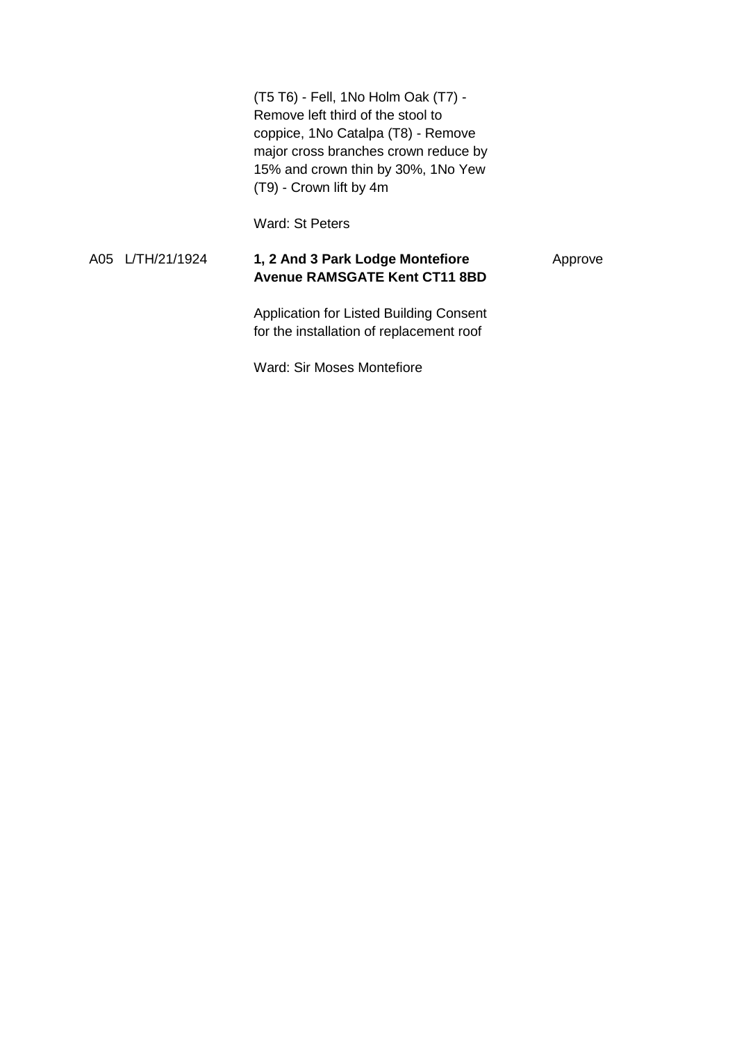(T5 T6) - Fell, 1No Holm Oak (T7) - Remove left third of the stool to coppice, 1No Catalpa (T8) - Remove major cross branches crown reduce by 15% and crown thin by 30%, 1No Yew (T9) - Crown lift by 4m

Ward: St Peters

#### A05 L/TH/21/1924 **1, 2 And 3 Park Lodge Montefiore Avenue RAMSGATE Kent CT11 8BD** Approve

Application for Listed Building Consent for the installation of replacement roof

Ward: Sir Moses Montefiore